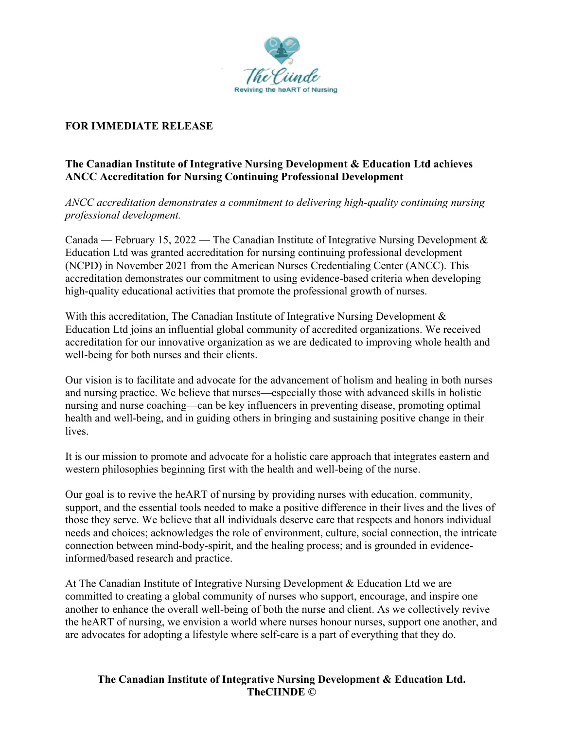

## **FOR IMMEDIATE RELEASE**

## **The Canadian Institute of Integrative Nursing Development & Education Ltd achieves ANCC Accreditation for Nursing Continuing Professional Development**

*ANCC accreditation demonstrates a commitment to delivering high-quality continuing nursing professional development.*

Canada — February 15, 2022 — The Canadian Institute of Integrative Nursing Development  $\&$ Education Ltd was granted accreditation for nursing continuing professional development (NCPD) in November 2021 from the American Nurses Credentialing Center (ANCC). This accreditation demonstrates our commitment to using evidence-based criteria when developing high-quality educational activities that promote the professional growth of nurses.

With this accreditation, The Canadian Institute of Integrative Nursing Development & Education Ltd joins an influential global community of accredited organizations. We received accreditation for our innovative organization as we are dedicated to improving whole health and well-being for both nurses and their clients.

Our vision is to facilitate and advocate for the advancement of holism and healing in both nurses and nursing practice. We believe that nurses—especially those with advanced skills in holistic nursing and nurse coaching—can be key influencers in preventing disease, promoting optimal health and well-being, and in guiding others in bringing and sustaining positive change in their lives.

It is our mission to promote and advocate for a holistic care approach that integrates eastern and western philosophies beginning first with the health and well-being of the nurse.

Our goal is to revive the heART of nursing by providing nurses with education, community, support, and the essential tools needed to make a positive difference in their lives and the lives of those they serve. We believe that all individuals deserve care that respects and honors individual needs and choices; acknowledges the role of environment, culture, social connection, the intricate connection between mind-body-spirit, and the healing process; and is grounded in evidenceinformed/based research and practice.

At The Canadian Institute of Integrative Nursing Development & Education Ltd we are committed to creating a global community of nurses who support, encourage, and inspire one another to enhance the overall well-being of both the nurse and client. As we collectively revive the heART of nursing, we envision a world where nurses honour nurses, support one another, and are advocates for adopting a lifestyle where self-care is a part of everything that they do.

## **The Canadian Institute of Integrative Nursing Development & Education Ltd. TheCIINDE ©**